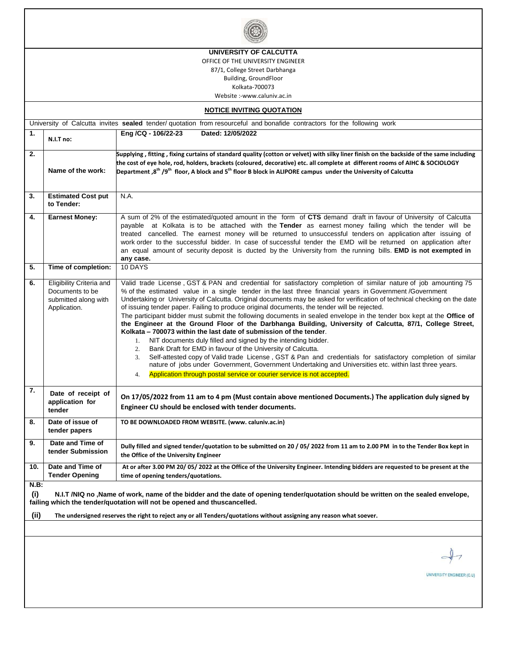|                                                                                                                                                                                                                                                                                                                                                                  |                                                                                     | UNIVERSITY OF CALCUTTA                                                                                                                                                                                                                                                                                                                                                                                                                                                                                                                                                                                                                                                                                                                                                                                                                                                                                                                                                                                                                                                                                                                                                                                                   |  |  |  |  |  |
|------------------------------------------------------------------------------------------------------------------------------------------------------------------------------------------------------------------------------------------------------------------------------------------------------------------------------------------------------------------|-------------------------------------------------------------------------------------|--------------------------------------------------------------------------------------------------------------------------------------------------------------------------------------------------------------------------------------------------------------------------------------------------------------------------------------------------------------------------------------------------------------------------------------------------------------------------------------------------------------------------------------------------------------------------------------------------------------------------------------------------------------------------------------------------------------------------------------------------------------------------------------------------------------------------------------------------------------------------------------------------------------------------------------------------------------------------------------------------------------------------------------------------------------------------------------------------------------------------------------------------------------------------------------------------------------------------|--|--|--|--|--|
| OFFICE OF THE UNIVERSITY ENGINEER                                                                                                                                                                                                                                                                                                                                |                                                                                     |                                                                                                                                                                                                                                                                                                                                                                                                                                                                                                                                                                                                                                                                                                                                                                                                                                                                                                                                                                                                                                                                                                                                                                                                                          |  |  |  |  |  |
| 87/1, College Street Darbhanga                                                                                                                                                                                                                                                                                                                                   |                                                                                     |                                                                                                                                                                                                                                                                                                                                                                                                                                                                                                                                                                                                                                                                                                                                                                                                                                                                                                                                                                                                                                                                                                                                                                                                                          |  |  |  |  |  |
| Building, GroundFloor                                                                                                                                                                                                                                                                                                                                            |                                                                                     |                                                                                                                                                                                                                                                                                                                                                                                                                                                                                                                                                                                                                                                                                                                                                                                                                                                                                                                                                                                                                                                                                                                                                                                                                          |  |  |  |  |  |
| Kolkata-700073                                                                                                                                                                                                                                                                                                                                                   |                                                                                     |                                                                                                                                                                                                                                                                                                                                                                                                                                                                                                                                                                                                                                                                                                                                                                                                                                                                                                                                                                                                                                                                                                                                                                                                                          |  |  |  |  |  |
| Website :-www.caluniv.ac.in                                                                                                                                                                                                                                                                                                                                      |                                                                                     |                                                                                                                                                                                                                                                                                                                                                                                                                                                                                                                                                                                                                                                                                                                                                                                                                                                                                                                                                                                                                                                                                                                                                                                                                          |  |  |  |  |  |
|                                                                                                                                                                                                                                                                                                                                                                  |                                                                                     | <b>NOTICE INVITING QUOTATION</b><br>University of Calcutta invites sealed tender/ quotation from resourceful and bonafide contractors for the following work                                                                                                                                                                                                                                                                                                                                                                                                                                                                                                                                                                                                                                                                                                                                                                                                                                                                                                                                                                                                                                                             |  |  |  |  |  |
| 1.                                                                                                                                                                                                                                                                                                                                                               |                                                                                     | Dated: 12/05/2022<br>Eng /CQ - 106/22-23                                                                                                                                                                                                                                                                                                                                                                                                                                                                                                                                                                                                                                                                                                                                                                                                                                                                                                                                                                                                                                                                                                                                                                                 |  |  |  |  |  |
|                                                                                                                                                                                                                                                                                                                                                                  | N.I.T no:                                                                           |                                                                                                                                                                                                                                                                                                                                                                                                                                                                                                                                                                                                                                                                                                                                                                                                                                                                                                                                                                                                                                                                                                                                                                                                                          |  |  |  |  |  |
| 2.                                                                                                                                                                                                                                                                                                                                                               | Name of the work:                                                                   | Supplying, fitting, fixing curtains of standard quality (cotton or velvet) with silky liner finish on the backside of the same including<br>the cost of eye hole, rod, holders, brackets (coloured, decorative) etc. all complete at different rooms of AIHC & SOCIOLOGY<br>Department, 8 <sup>th</sup> /9 <sup>th</sup> floor, A block and 5 <sup>th</sup> floor B block in ALIPORE campus under the University of Calcutta                                                                                                                                                                                                                                                                                                                                                                                                                                                                                                                                                                                                                                                                                                                                                                                             |  |  |  |  |  |
| 3.                                                                                                                                                                                                                                                                                                                                                               | <b>Estimated Cost put</b><br>to Tender:                                             | N.A.                                                                                                                                                                                                                                                                                                                                                                                                                                                                                                                                                                                                                                                                                                                                                                                                                                                                                                                                                                                                                                                                                                                                                                                                                     |  |  |  |  |  |
| 4.                                                                                                                                                                                                                                                                                                                                                               | <b>Earnest Money:</b>                                                               | A sum of 2% of the estimated/quoted amount in the form of CTS demand draft in favour of University of Calcutta<br>payable at Kolkata is to be attached with the Tender as earnest money failing which the tender will be<br>treated cancelled. The earnest money will be returned to unsuccessful tenders on application after issuing of<br>work order to the successful bidder. In case of successful tender the EMD will be returned on application after<br>an equal amount of security deposit is ducted by the University from the running bills. EMD is not exempted in<br>any case.                                                                                                                                                                                                                                                                                                                                                                                                                                                                                                                                                                                                                              |  |  |  |  |  |
| 5.                                                                                                                                                                                                                                                                                                                                                               | Time of completion:                                                                 | 10 DAYS                                                                                                                                                                                                                                                                                                                                                                                                                                                                                                                                                                                                                                                                                                                                                                                                                                                                                                                                                                                                                                                                                                                                                                                                                  |  |  |  |  |  |
| 6.                                                                                                                                                                                                                                                                                                                                                               | Eligibility Criteria and<br>Documents to be<br>submitted along with<br>Application. | Valid trade License, GST & PAN and credential for satisfactory completion of similar nature of job amounting 75<br>% of the estimated value in a single tender in the last three financial years in Government /Government<br>Undertaking or University of Calcutta. Original documents may be asked for verification of technical checking on the date<br>of issuing tender paper. Failing to produce original documents, the tender will be rejected.<br>The participant bidder must submit the following documents in sealed envelope in the tender box kept at the Office of<br>the Engineer at the Ground Floor of the Darbhanga Building, University of Calcutta, 87/1, College Street,<br>Kolkata – 700073 within the last date of submission of the tender.<br>1. NIT documents duly filled and signed by the intending bidder.<br>2. Bank Draft for EMD in favour of the University of Calcutta.<br>Self-attested copy of Valid trade License, GST & Pan and credentials for satisfactory completion of similar<br>3.<br>nature of jobs under Government, Government Undertaking and Universities etc. within last three years.<br>Application through postal service or courier service is not accepted.<br>4. |  |  |  |  |  |
| 7.                                                                                                                                                                                                                                                                                                                                                               | Date of receipt of<br>application for<br>tender                                     | On 17/05/2022 from 11 am to 4 pm (Must contain above mentioned Documents.) The application duly signed by<br>Engineer CU should be enclosed with tender documents.                                                                                                                                                                                                                                                                                                                                                                                                                                                                                                                                                                                                                                                                                                                                                                                                                                                                                                                                                                                                                                                       |  |  |  |  |  |
| 8.                                                                                                                                                                                                                                                                                                                                                               | Date of issue of<br>tender papers                                                   | TO BE DOWNLOADED FROM WEBSITE. (www. caluniv.ac.in)                                                                                                                                                                                                                                                                                                                                                                                                                                                                                                                                                                                                                                                                                                                                                                                                                                                                                                                                                                                                                                                                                                                                                                      |  |  |  |  |  |
| 9.                                                                                                                                                                                                                                                                                                                                                               | Date and Time of<br>tender Submission                                               | Dully filled and signed tender/quotation to be submitted on 20 / 05/2022 from 11 am to 2.00 PM in to the Tender Box kept in<br>the Office of the University Engineer                                                                                                                                                                                                                                                                                                                                                                                                                                                                                                                                                                                                                                                                                                                                                                                                                                                                                                                                                                                                                                                     |  |  |  |  |  |
| 10.                                                                                                                                                                                                                                                                                                                                                              | Date and Time of<br><b>Tender Opening</b>                                           | At or after 3.00 PM 20/05/2022 at the Office of the University Engineer. Intending bidders are requested to be present at the<br>time of opening tenders/quotations.                                                                                                                                                                                                                                                                                                                                                                                                                                                                                                                                                                                                                                                                                                                                                                                                                                                                                                                                                                                                                                                     |  |  |  |  |  |
| $N.B$ :<br>(i)<br>N.I.T /NIQ no ,Name of work, name of the bidder and the date of opening tender/quotation should be written on the sealed envelope,<br>failing which the tender/quotation will not be opened and thuscancelled.<br>(ii)<br>The undersigned reserves the right to reject any or all Tenders/quotations without assigning any reason what soever. |                                                                                     |                                                                                                                                                                                                                                                                                                                                                                                                                                                                                                                                                                                                                                                                                                                                                                                                                                                                                                                                                                                                                                                                                                                                                                                                                          |  |  |  |  |  |
|                                                                                                                                                                                                                                                                                                                                                                  |                                                                                     |                                                                                                                                                                                                                                                                                                                                                                                                                                                                                                                                                                                                                                                                                                                                                                                                                                                                                                                                                                                                                                                                                                                                                                                                                          |  |  |  |  |  |
|                                                                                                                                                                                                                                                                                                                                                                  |                                                                                     |                                                                                                                                                                                                                                                                                                                                                                                                                                                                                                                                                                                                                                                                                                                                                                                                                                                                                                                                                                                                                                                                                                                                                                                                                          |  |  |  |  |  |
|                                                                                                                                                                                                                                                                                                                                                                  |                                                                                     | UNIVERSITY ENGINEER (C.U)                                                                                                                                                                                                                                                                                                                                                                                                                                                                                                                                                                                                                                                                                                                                                                                                                                                                                                                                                                                                                                                                                                                                                                                                |  |  |  |  |  |
|                                                                                                                                                                                                                                                                                                                                                                  |                                                                                     |                                                                                                                                                                                                                                                                                                                                                                                                                                                                                                                                                                                                                                                                                                                                                                                                                                                                                                                                                                                                                                                                                                                                                                                                                          |  |  |  |  |  |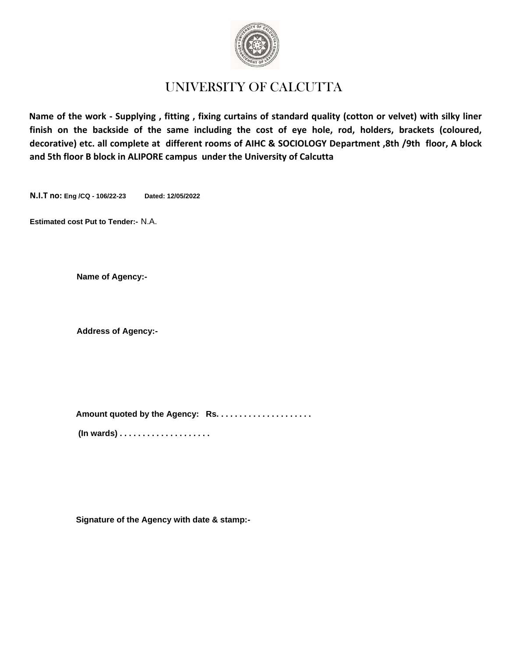

## UNIVERSITY OF CALCUTTA

**Name of the work - Supplying , fitting , fixing curtains of standard quality (cotton or velvet) with silky liner finish on the backside of the same including the cost of eye hole, rod, holders, brackets (coloured, decorative) etc. all complete at different rooms of AIHC & SOCIOLOGY Department ,8th /9th floor, A block and 5th floor B block in ALIPORE campus under the University of Calcutta**

**N.I.T no: Eng /CQ - 106/22-23 Dated: 12/05/2022**

**Estimated cost Put to Tender:-** N.A.

**Name of Agency:-**

**Address of Agency:-**

**Amount quoted by the Agency: Rs. . . . . . . . . . . . . . . . . . . . . (In wards) . . . . . . . . . . . . . . . . . . . .** 

**Signature of the Agency with date & stamp:-**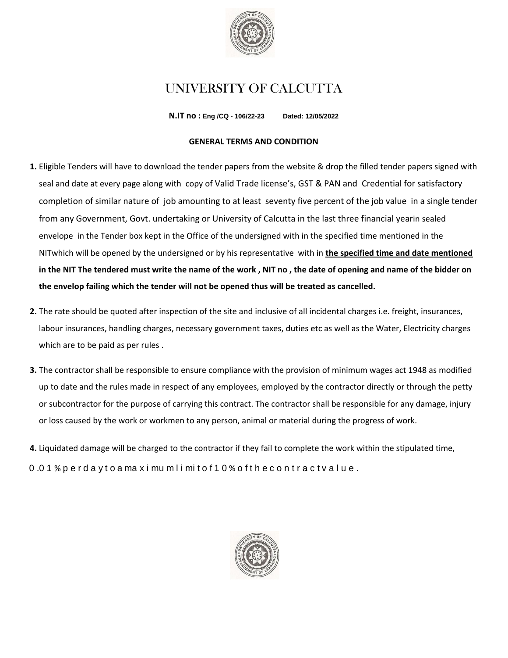

# UNIVERSITY OF CALCUTTA

**N.IT no : Eng /CQ - 106/22-23 Dated: 12/05/2022**

## **GENERAL TERMS AND CONDITION**

- **1.** Eligible Tenders will have to download the tender papers from the website & drop the filled tender papers signed with seal and date at every page along with copy of Valid Trade license's, GST & PAN and Credential for satisfactory completion of similar nature of job amounting to at least seventy five percent of the job value in a single tender from any Government, Govt. undertaking or University of Calcutta in the last three financial yearin sealed envelope in the Tender box kept in the Office of the undersigned with in the specified time mentioned in the NITwhich will be opened by the undersigned or by his representative with in **the specified time and date mentioned in the NIT The tendered must write the name of the work , NIT no , the date of opening and name of the bidder on the envelop failing which the tender will not be opened thus will be treated as cancelled.**
- **2.** The rate should be quoted after inspection of the site and inclusive of all incidental charges i.e. freight, insurances, labour insurances, handling charges, necessary government taxes, duties etc as well as the Water, Electricity charges which are to be paid as per rules .
- **3.** The contractor shall be responsible to ensure compliance with the provision of minimum wages act 1948 as modified up to date and the rules made in respect of any employees, employed by the contractor directly or through the petty or subcontractor for the purpose of carrying this contract. The contractor shall be responsible for any damage, injury or loss caused by the work or workmen to any person, animal or material during the progress of work.
- **4.** Liquidated damage will be charged to the contractor if they fail to complete the work within the stipulated time, 0 .0 1 % p e r d a y t o a ma x i mu m l i mi t o f 1 0 % o f t h e c o n t r a c t v a l u e .

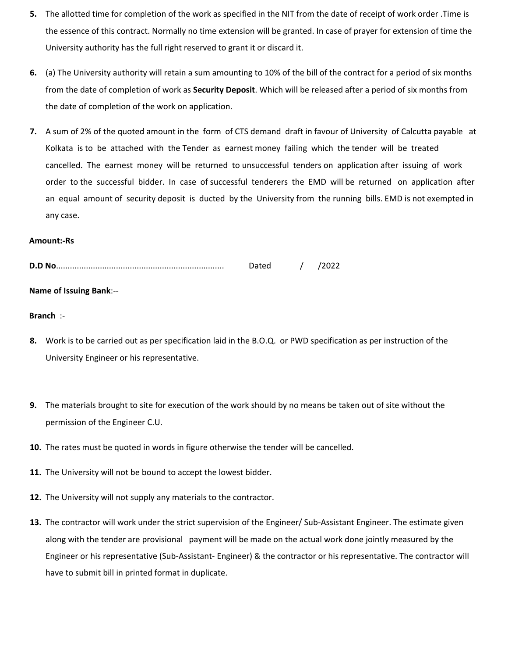- **5.** The allotted time for completion of the work as specified in the NIT from the date of receipt of work order .Time is the essence of this contract. Normally no time extension will be granted. In case of prayer for extension of time the University authority has the full right reserved to grant it or discard it.
- **6.** (a) The University authority will retain a sum amounting to 10% of the bill of the contract for a period of six months from the date of completion of work as **Security Deposit**. Which will be released after a period of six months from the date of completion of the work on application.
- **7.** A sum of 2% of the quoted amount in the form of CTS demand draft in favour of University of Calcutta payable at Kolkata is to be attached with the Tender as earnest money failing which the tender will be treated cancelled. The earnest money will be returned to unsuccessful tenders on application after issuing of work order to the successful bidder. In case of successful tenderers the EMD will be returned on application after an equal amount of security deposit is ducted by the University from the running bills. EMD is not exempted in any case.

#### **Amount:-Rs**

|                                | Dated / /2022 |  |
|--------------------------------|---------------|--|
| <b>Name of Issuing Bank:--</b> |               |  |

## **Branch** :-

- **8.** Work is to be carried out as per specification laid in the B.O.Q. or PWD specification as per instruction of the University Engineer or his representative.
- **9.** The materials brought to site for execution of the work should by no means be taken out of site without the permission of the Engineer C.U.
- **10.** The rates must be quoted in words in figure otherwise the tender will be cancelled.
- **11.** The University will not be bound to accept the lowest bidder.
- **12.** The University will not supply any materials to the contractor.
- **13.** The contractor will work under the strict supervision of the Engineer/ Sub-Assistant Engineer. The estimate given along with the tender are provisional payment will be made on the actual work done jointly measured by the Engineer or his representative (Sub-Assistant- Engineer) & the contractor or his representative. The contractor will have to submit bill in printed format in duplicate.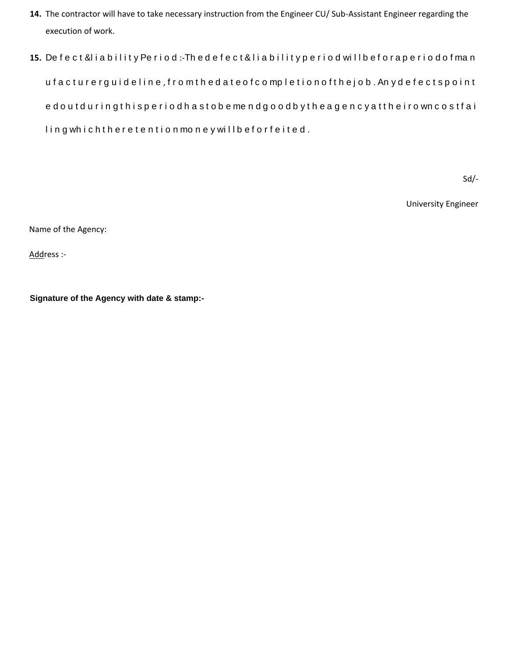- **14.** The contractor will have to take necessary instruction from the Engineer CU/ Sub-Assistant Engineer regarding the execution of work.
- **15.** De f e c t &l i a b i l i t y Pe r i o d :-Th e d e f e c t & l i a b i l i t y p e r i o d wi l l b e f o r a p e r i o d o f ma n u f a c t u r e r g u i d e l i n e , f r o m t h e d a t e o f c o mp l e t i o n o f t h e j o b . An y d e f e c t s p o i n t e d o u t d u r i n g t h i s p e r i o d h a s t o b e me n d g o o d b y t h e a g e n c y a t t h e i r o wn c o s t f a i ling which there tention money will be for feited.

Sd/-

University Engineer

Name of the Agency:

Address :-

**Signature of the Agency with date & stamp:-**